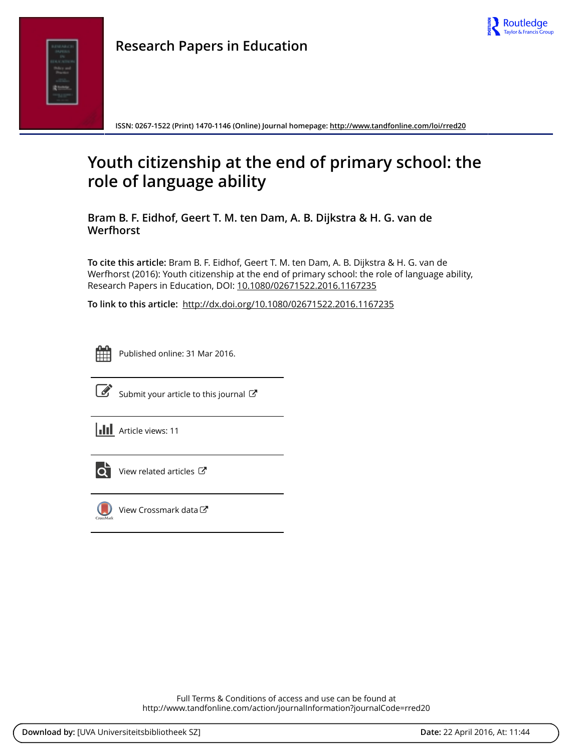



**ISSN: 0267-1522 (Print) 1470-1146 (Online) Journal homepage:<http://www.tandfonline.com/loi/rred20>**

# **Youth citizenship at the end of primary school: the role of language ability**

**Bram B. F. Eidhof, Geert T. M. ten Dam, A. B. Dijkstra & H. G. van de Werfhorst**

**To cite this article:** Bram B. F. Eidhof, Geert T. M. ten Dam, A. B. Dijkstra & H. G. van de Werfhorst (2016): Youth citizenship at the end of primary school: the role of language ability, Research Papers in Education, DOI: [10.1080/02671522.2016.1167235](http://www.tandfonline.com/action/showCitFormats?doi=10.1080/02671522.2016.1167235)

**To link to this article:** <http://dx.doi.org/10.1080/02671522.2016.1167235>



Published online: 31 Mar 2016.



[Submit your article to this journal](http://www.tandfonline.com/action/authorSubmission?journalCode=rred20&page=instructions)  $\mathbb{Z}$ 

**Article views: 11** 



 $\overrightarrow{O}$  [View related articles](http://www.tandfonline.com/doi/mlt/10.1080/02671522.2016.1167235)  $\overrightarrow{C}$ 



[View Crossmark data](http://crossmark.crossref.org/dialog/?doi=10.1080/02671522.2016.1167235&domain=pdf&date_stamp=2016-03-31) $\sigma$ 

Full Terms & Conditions of access and use can be found at <http://www.tandfonline.com/action/journalInformation?journalCode=rred20>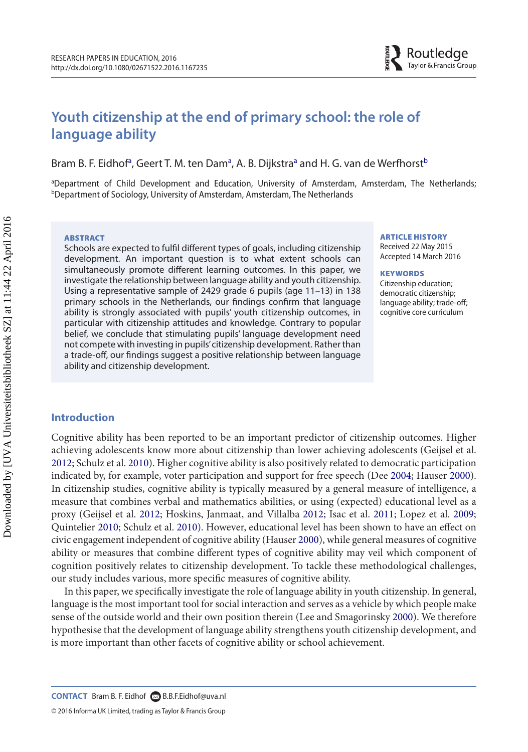

# **Youth citizenship at the end of primary school: the role of language ability**

Br[a](#page-1-0)m B. F. Eidhof<sup>a</sup>, Geert T. M. ten Dam<sup>a</sup>, A. B. Dijkstra<sup>a</sup> and H. G. van de Werfhorst<sup>b</sup>

<span id="page-1-1"></span><span id="page-1-0"></span><sup>a</sup>Department of Child Development and Education, University of Amsterdam, Amsterdam, The Netherlands;<br><sup>b</sup>Department of Sociology, University of Amsterdam, Amsterdam, The Netherlands

#### **ARSTRACT**

Schools are expected to fulfil different types of goals, including citizenship development. An important question is to what extent schools can simultaneously promote different learning outcomes. In this paper, we investigate the relationship between language ability and youth citizenship. Using a representative sample of 2429 grade 6 pupils (age 11–13) in 138 primary schools in the Netherlands, our findings confirm that language ability is strongly associated with pupils' youth citizenship outcomes, in particular with citizenship attitudes and knowledge. Contrary to popular belief, we conclude that stimulating pupils' language development need not compete with investing in pupils' citizenship development. Rather than a trade-off, our findings suggest a positive relationship between language ability and citizenship development.

#### ARTICLE HISTORY Received 22 May 2015 Accepted 14 March 2016

#### **KEYWORDS**

<span id="page-1-8"></span><span id="page-1-7"></span><span id="page-1-6"></span><span id="page-1-5"></span><span id="page-1-4"></span><span id="page-1-2"></span>Citizenship education; democratic citizenship; language ability; trade-off; cognitive core curriculum

# **Introduction**

<span id="page-1-10"></span><span id="page-1-3"></span>Cognitive ability has been reported to be an important predictor of citizenship outcomes. Higher achieving adolescents know more about citizenship than lower achieving adolescents (Geijsel et al. [2012](#page-12-0); Schulz et al. [2010\)](#page-13-0). Higher cognitive ability is also positively related to democratic participation indicated by, for example, voter participation and support for free speech (Dee [2004](#page-12-1); Hauser [2000](#page-12-2)). In citizenship studies, cognitive ability is typically measured by a general measure of intelligence, a measure that combines verbal and mathematics abilities, or using (expected) educational level as a proxy (Geijsel et al. [2012;](#page-12-0) Hoskins, Janmaat, and Villalba [2012](#page-12-3); Isac et al. [2011](#page-13-1); Lopez et al. [2009;](#page-13-2) Quintelier [2010;](#page-13-3) Schulz et al. [2010](#page-13-0)). However, educational level has been shown to have an effect on civic engagement independent of cognitive ability (Hauser [2000\)](#page-12-2), while general measures of cognitive ability or measures that combine different types of cognitive ability may veil which component of cognition positively relates to citizenship development. To tackle these methodological challenges, our study includes various, more specific measures of cognitive ability.

<span id="page-1-9"></span>In this paper, we specifically investigate the role of language ability in youth citizenship. In general, language is the most important tool for social interaction and serves as a vehicle by which people make sense of the outside world and their own position therein (Lee and Smagorinsky [2000](#page-13-4)). We therefore hypothesise that the development of language ability strengthens youth citizenship development, and is more important than other facets of cognitive ability or school achievement.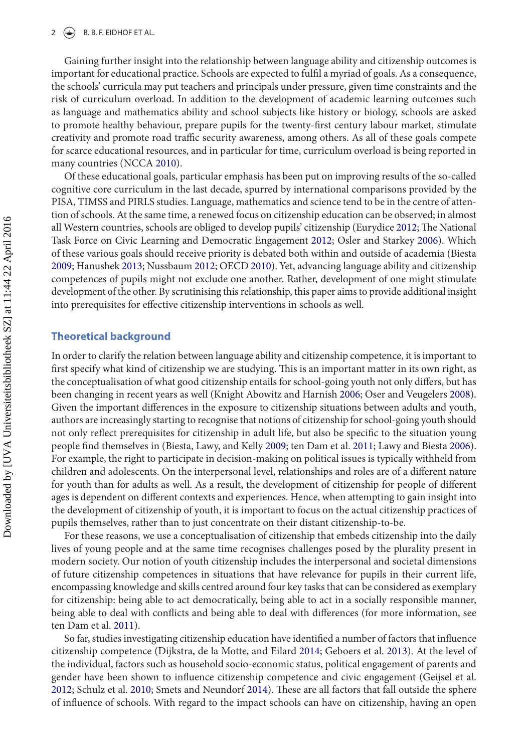Gaining further insight into the relationship between language ability and citizenship outcomes is important for educational practice. Schools are expected to fulfil a myriad of goals. As a consequence, the schools' curricula may put teachers and principals under pressure, given time constraints and the risk of curriculum overload. In addition to the development of academic learning outcomes such as language and mathematics ability and school subjects like history or biology, schools are asked to promote healthy behaviour, prepare pupils for the twenty-first century labour market, stimulate creativity and promote road traffic security awareness, among others. As all of these goals compete for scarce educational resources, and in particular for time, curriculum overload is being reported in many countries (NCCA [2010\)](#page-13-5).

<span id="page-2-15"></span><span id="page-2-13"></span><span id="page-2-9"></span><span id="page-2-4"></span>Of these educational goals, particular emphasis has been put on improving results of the so-called cognitive core curriculum in the last decade, spurred by international comparisons provided by the PISA, TIMSS and PIRLS studies. Language, mathematics and science tend to be in the centre of attention of schools. At the same time, a renewed focus on citizenship education can be observed; in almost all Western countries, schools are obliged to develop pupils' citizenship (Eurydice [2012;](#page-12-4) The National Task Force on Civic Learning and Democratic Engagement [2012](#page-13-6); Osler and Starkey [2006](#page-13-7)). Which of these various goals should receive priority is debated both within and outside of academia (Biesta [2009](#page-12-5); Hanushek [2013](#page-12-6); Nussbaum [2012;](#page-13-8) OECD [2010\)](#page-13-9). Yet, advancing language ability and citizenship competences of pupils might not exclude one another. Rather, development of one might stimulate development of the other. By scrutinising this relationship, this paper aims to provide additional insight into prerequisites for effective citizenship interventions in schools as well.

# <span id="page-2-11"></span><span id="page-2-10"></span><span id="page-2-6"></span><span id="page-2-0"></span>**Theoretical background**

<span id="page-2-12"></span><span id="page-2-8"></span><span id="page-2-7"></span><span id="page-2-2"></span><span id="page-2-1"></span>In order to clarify the relation between language ability and citizenship competence, it is important to first specify what kind of citizenship we are studying. This is an important matter in its own right, as the conceptualisation of what good citizenship entails for school-going youth not only differs, but has been changing in recent years as well (Knight Abowitz and Harnish [2006;](#page-13-10) Oser and Veugelers [2008](#page-13-11)). Given the important differences in the exposure to citizenship situations between adults and youth, authors are increasingly starting to recognise that notions of citizenship for school-going youth should not only reflect prerequisites for citizenship in adult life, but also be specific to the situation young people find themselves in (Biesta, Lawy, and Kelly [2009](#page-12-7); ten Dam et al. [2011;](#page-12-8) Lawy and Biesta [2006](#page-13-12)). For example, the right to participate in decision-making on political issues is typically withheld from children and adolescents. On the interpersonal level, relationships and roles are of a different nature for youth than for adults as well. As a result, the development of citizenship for people of different ages is dependent on different contexts and experiences. Hence, when attempting to gain insight into the development of citizenship of youth, it is important to focus on the actual citizenship practices of pupils themselves, rather than to just concentrate on their distant citizenship-to-be.

For these reasons, we use a conceptualisation of citizenship that embeds citizenship into the daily lives of young people and at the same time recognises challenges posed by the plurality present in modern society. Our notion of youth citizenship includes the interpersonal and societal dimensions of future citizenship competences in situations that have relevance for pupils in their current life, encompassing knowledge and skills centred around four key tasks that can be considered as exemplary for citizenship: being able to act democratically, being able to act in a socially responsible manner, being able to deal with conflicts and being able to deal with differences (for more information, see ten Dam et al. [2011](#page-12-8)).

<span id="page-2-14"></span><span id="page-2-5"></span><span id="page-2-3"></span>So far, studies investigating citizenship education have identified a number of factors that influence citizenship competence (Dijkstra, de la Motte, and Eilard [2014;](#page-12-9) Geboers et al. [2013\)](#page-12-10). At the level of the individual, factors such as household socio-economic status, political engagement of parents and gender have been shown to influence citizenship competence and civic engagement (Geijsel et al. [2012](#page-12-0); Schulz et al. [2010](#page-13-0); Smets and Neundorf [2014](#page-13-13)). These are all factors that fall outside the sphere of influence of schools. With regard to the impact schools can have on citizenship, having an open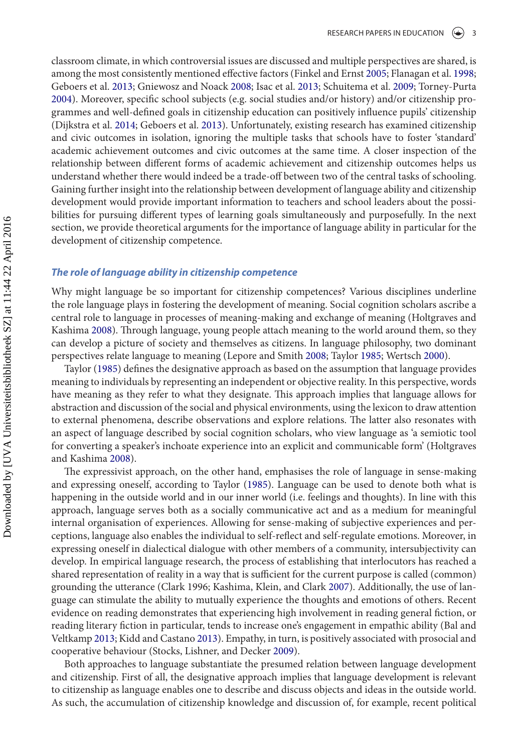<span id="page-3-13"></span><span id="page-3-10"></span><span id="page-3-6"></span><span id="page-3-4"></span><span id="page-3-3"></span><span id="page-3-2"></span><span id="page-3-1"></span>classroom climate, in which controversial issues are discussed and multiple perspectives are shared, is among the most consistently mentioned effective factors (Finkel and Ernst [2005](#page-12-11); Flanagan et al. [1998;](#page-12-12) Geboers et al. [2013;](#page-12-10) Gniewosz and Noack [2008;](#page-12-13) Isac et al. [2013;](#page-13-14) Schuitema et al. [2009;](#page-13-15) Torney-Purta [2004](#page-13-16)). Moreover, specific school subjects (e.g. social studies and/or history) and/or citizenship programmes and well-defined goals in citizenship education can positively influence pupils' citizenship (Dijkstra et al. [2014;](#page-12-14) Geboers et al. [2013](#page-12-10)). Unfortunately, existing research has examined citizenship and civic outcomes in isolation, ignoring the multiple tasks that schools have to foster 'standard' academic achievement outcomes and civic outcomes at the same time. A closer inspection of the relationship between different forms of academic achievement and citizenship outcomes helps us understand whether there would indeed be a trade-off between two of the central tasks of schooling. Gaining further insight into the relationship between development of language ability and citizenship development would provide important information to teachers and school leaders about the possibilities for pursuing different types of learning goals simultaneously and purposefully. In the next section, we provide theoretical arguments for the importance of language ability in particular for the development of citizenship competence.

# *The role of language ability in citizenship competence*

<span id="page-3-5"></span>Why might language be so important for citizenship competences? Various disciplines underline the role language plays in fostering the development of meaning. Social cognition scholars ascribe a central role to language in processes of meaning-making and exchange of meaning (Holtgraves and Kashima [2008\)](#page-12-15). Through language, young people attach meaning to the world around them, so they can develop a picture of society and themselves as citizens. In language philosophy, two dominant perspectives relate language to meaning (Lepore and Smith [2008;](#page-13-17) Taylor [1985](#page-13-18); Wertsch [2000](#page-13-19)).

<span id="page-3-14"></span><span id="page-3-12"></span><span id="page-3-9"></span>Taylor ([1985\)](#page-13-18) defines the designative approach as based on the assumption that language provides meaning to individuals by representing an independent or objective reality. In this perspective, words have meaning as they refer to what they designate. This approach implies that language allows for abstraction and discussion of the social and physical environments, using the lexicon to draw attention to external phenomena, describe observations and explore relations. The latter also resonates with an aspect of language described by social cognition scholars, who view language as 'a semiotic tool for converting a speaker's inchoate experience into an explicit and communicable form' (Holtgraves and Kashima [2008\)](#page-12-15).

The expressivist approach, on the other hand, emphasises the role of language in sense-making and expressing oneself, according to Taylor [\(1985](#page-13-18)). Language can be used to denote both what is happening in the outside world and in our inner world (i.e. feelings and thoughts). In line with this approach, language serves both as a socially communicative act and as a medium for meaningful internal organisation of experiences. Allowing for sense-making of subjective experiences and perceptions, language also enables the individual to self-reflect and self-regulate emotions. Moreover, in expressing oneself in dialectical dialogue with other members of a community, intersubjectivity can develop. In empirical language research, the process of establishing that interlocutors has reached a shared representation of reality in a way that is sufficient for the current purpose is called (common) grounding the utterance (Clark 1996; Kashima, Klein, and Clark [2007](#page-13-20)). Additionally, the use of language can stimulate the ability to mutually experience the thoughts and emotions of others. Recent evidence on reading demonstrates that experiencing high involvement in reading general fiction, or reading literary fiction in particular, tends to increase one's engagement in empathic ability (Bal and Veltkamp [2013](#page-12-16); Kidd and Castano [2013](#page-13-21)). Empathy, in turn, is positively associated with prosocial and cooperative behaviour (Stocks, Lishner, and Decker [2009\)](#page-13-22).

<span id="page-3-11"></span><span id="page-3-8"></span><span id="page-3-7"></span><span id="page-3-0"></span>Both approaches to language substantiate the presumed relation between language development and citizenship. First of all, the designative approach implies that language development is relevant to citizenship as language enables one to describe and discuss objects and ideas in the outside world. As such, the accumulation of citizenship knowledge and discussion of, for example, recent political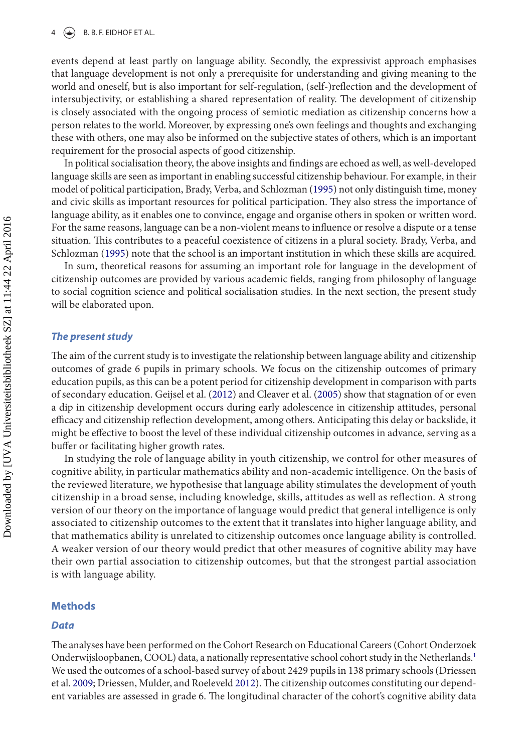events depend at least partly on language ability. Secondly, the expressivist approach emphasises that language development is not only a prerequisite for understanding and giving meaning to the world and oneself, but is also important for self-regulation, (self-)reflection and the development of intersubjectivity, or establishing a shared representation of reality. The development of citizenship is closely associated with the ongoing process of semiotic mediation as citizenship concerns how a person relates to the world. Moreover, by expressing one's own feelings and thoughts and exchanging these with others, one may also be informed on the subjective states of others, which is an important requirement for the prosocial aspects of good citizenship.

<span id="page-4-0"></span>In political socialisation theory, the above insights and findings are echoed as well, as well-developed language skills are seen as important in enabling successful citizenship behaviour. For example, in their model of political participation, Brady, Verba, and Schlozman [\(1995](#page-12-17)) not only distinguish time, money and civic skills as important resources for political participation. They also stress the importance of language ability, as it enables one to convince, engage and organise others in spoken or written word. For the same reasons, language can be a non-violent means to influence or resolve a dispute or a tense situation. This contributes to a peaceful coexistence of citizens in a plural society. Brady, Verba, and Schlozman ([1995](#page-12-17)) note that the school is an important institution in which these skills are acquired.

In sum, theoretical reasons for assuming an important role for language in the development of citizenship outcomes are provided by various academic fields, ranging from philosophy of language to social cognition science and political socialisation studies. In the next section, the present study will be elaborated upon.

#### *The present study*

<span id="page-4-1"></span>The aim of the current study is to investigate the relationship between language ability and citizenship outcomes of grade 6 pupils in primary schools. We focus on the citizenship outcomes of primary education pupils, as this can be a potent period for citizenship development in comparison with parts of secondary education. Geijsel et al. [\(2012](#page-12-0)) and Cleaver et al. ([2005\)](#page-12-18) show that stagnation of or even a dip in citizenship development occurs during early adolescence in citizenship attitudes, personal efficacy and citizenship reflection development, among others. Anticipating this delay or backslide, it might be effective to boost the level of these individual citizenship outcomes in advance, serving as a buffer or facilitating higher growth rates.

In studying the role of language ability in youth citizenship, we control for other measures of cognitive ability, in particular mathematics ability and non-academic intelligence. On the basis of the reviewed literature, we hypothesise that language ability stimulates the development of youth citizenship in a broad sense, including knowledge, skills, attitudes as well as reflection. A strong version of our theory on the importance of language would predict that general intelligence is only associated to citizenship outcomes to the extent that it translates into higher language ability, and that mathematics ability is unrelated to citizenship outcomes once language ability is controlled. A weaker version of our theory would predict that other measures of cognitive ability may have their own partial association to citizenship outcomes, but that the strongest partial association is with language ability.

#### **Methods**

#### *Data*

<span id="page-4-3"></span><span id="page-4-2"></span>The analyses have been performed on the Cohort Research on Educational Careers (Cohort Onderzoek Onderwijsloopbanen, COOL) data, a nationally representative school cohort study in the Netherlands[.1](#page-11-0) We used the outcomes of a school-based survey of about 2429 pupils in 138 primary schools (Driessen et al. [2009;](#page-12-19) Driessen, Mulder, and Roeleveld [2012\)](#page-12-20). The citizenship outcomes constituting our dependent variables are assessed in grade 6. The longitudinal character of the cohort's cognitive ability data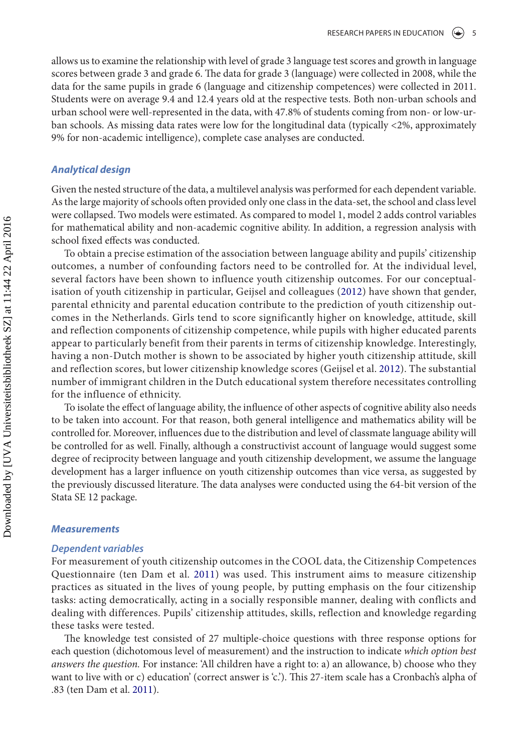allows us to examine the relationship with level of grade 3 language test scores and growth in language scores between grade 3 and grade 6. The data for grade 3 (language) were collected in 2008, while the data for the same pupils in grade 6 (language and citizenship competences) were collected in 2011. Students were on average 9.4 and 12.4 years old at the respective tests. Both non-urban schools and urban school were well-represented in the data, with 47.8% of students coming from non- or low-urban schools. As missing data rates were low for the longitudinal data (typically <2%, approximately 9% for non-academic intelligence), complete case analyses are conducted.

#### *Analytical design*

Given the nested structure of the data, a multilevel analysis was performed for each dependent variable. As the large majority of schools often provided only one class in the data-set, the school and class level were collapsed. Two models were estimated. As compared to model 1, model 2 adds control variables for mathematical ability and non-academic cognitive ability. In addition, a regression analysis with school fixed effects was conducted.

To obtain a precise estimation of the association between language ability and pupils' citizenship outcomes, a number of confounding factors need to be controlled for. At the individual level, several factors have been shown to influence youth citizenship outcomes. For our conceptualisation of youth citizenship in particular, Geijsel and colleagues ([2012\)](#page-12-0) have shown that gender, parental ethnicity and parental education contribute to the prediction of youth citizenship outcomes in the Netherlands. Girls tend to score significantly higher on knowledge, attitude, skill and reflection components of citizenship competence, while pupils with higher educated parents appear to particularly benefit from their parents in terms of citizenship knowledge. Interestingly, having a non-Dutch mother is shown to be associated by higher youth citizenship attitude, skill and reflection scores, but lower citizenship knowledge scores (Geijsel et al. [2012](#page-12-0)). The substantial number of immigrant children in the Dutch educational system therefore necessitates controlling for the influence of ethnicity.

To isolate the effect of language ability, the influence of other aspects of cognitive ability also needs to be taken into account. For that reason, both general intelligence and mathematics ability will be controlled for. Moreover, influences due to the distribution and level of classmate language ability will be controlled for as well. Finally, although a constructivist account of language would suggest some degree of reciprocity between language and youth citizenship development, we assume the language development has a larger influence on youth citizenship outcomes than vice versa, as suggested by the previously discussed literature. The data analyses were conducted using the 64-bit version of the Stata SE 12 package.

#### *Measurements*

#### *Dependent variables*

For measurement of youth citizenship outcomes in the COOL data, the Citizenship Competences Questionnaire (ten Dam et al. [2011](#page-12-8)) was used. This instrument aims to measure citizenship practices as situated in the lives of young people, by putting emphasis on the four citizenship tasks: acting democratically, acting in a socially responsible manner, dealing with conflicts and dealing with differences. Pupils' citizenship attitudes, skills, reflection and knowledge regarding these tasks were tested.

The knowledge test consisted of 27 multiple-choice questions with three response options for each question (dichotomous level of measurement) and the instruction to indicate *which option best answers the question.* For instance: 'All children have a right to: a) an allowance, b) choose who they want to live with or c) education' (correct answer is 'c.'). This 27-item scale has a Cronbach's alpha of .83 (ten Dam et al. [2011\)](#page-12-8).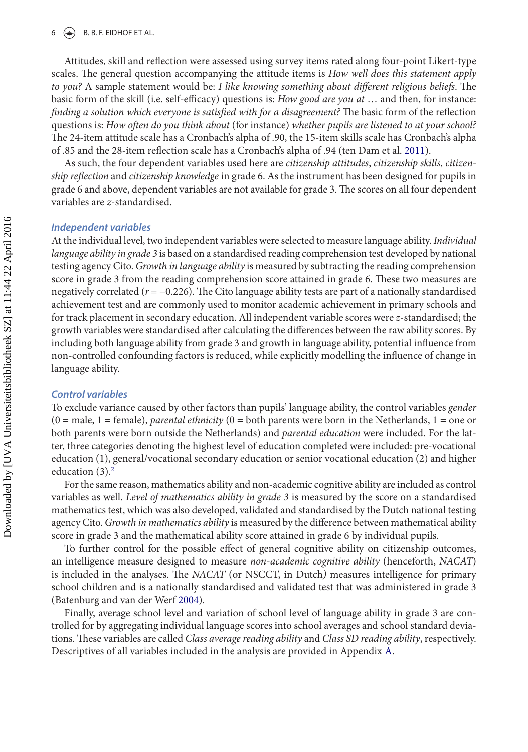Attitudes, skill and reflection were assessed using survey items rated along four-point Likert-type scales. The general question accompanying the attitude items is *How well does this statement apply to you?* A sample statement would be: *I like knowing something about different religious beliefs*. The basic form of the skill (i.e. self-efficacy) questions is: *How good are you at* … and then, for instance: *finding a solution which everyone is satisfied with for a disagreement?* The basic form of the reflection questions is: *How often do you think about* (for instance) *whether pupils are listened to at your school?* The 24-item attitude scale has a Cronbach's alpha of .90, the 15-item skills scale has Cronbach's alpha of .85 and the 28-item reflection scale has a Cronbach's alpha of .94 (ten Dam et al. [2011](#page-12-8)).

As such, the four dependent variables used here are *citizenship attitudes*, *citizenship skills*, *citizenship reflection* and *citizenship knowledge* in grade 6. As the instrument has been designed for pupils in grade 6 and above, dependent variables are not available for grade 3. The scores on all four dependent variables are *z*-standardised.

#### *Independent variables*

At the individual level, two independent variables were selected to measure language ability. *Individual language ability in grade 3* is based on a standardised reading comprehension test developed by national testing agency Cito. *Growth in language ability* is measured by subtracting the reading comprehension score in grade 3 from the reading comprehension score attained in grade 6. These two measures are negatively correlated (*r* = −0.226). The Cito language ability tests are part of a nationally standardised achievement test and are commonly used to monitor academic achievement in primary schools and for track placement in secondary education. All independent variable scores were *z*-standardised; the growth variables were standardised after calculating the differences between the raw ability scores. By including both language ability from grade 3 and growth in language ability, potential influence from non-controlled confounding factors is reduced, while explicitly modelling the influence of change in language ability.

#### *Control variables*

To exclude variance caused by other factors than pupils' language ability, the control variables *gender*  $(0 = male, 1 = female)$ , *parental ethnicity*  $(0 = both parents were born in the Netherlands, 1 = one or$ both parents were born outside the Netherlands) and *parental education* were included. For the latter, three categories denoting the highest level of education completed were included: pre-vocational education (1), general/vocational secondary education or senior vocational education (2) and higher education (3).<sup>[2](#page-11-1)</sup>

For the same reason, mathematics ability and non-academic cognitive ability are included as control variables as well. *Level of mathematics ability in grade 3* is measured by the score on a standardised mathematics test, which was also developed, validated and standardised by the Dutch national testing agency Cito. *Growth in mathematics ability* is measured by the difference between mathematical ability score in grade 3 and the mathematical ability score attained in grade 6 by individual pupils.

To further control for the possible effect of general cognitive ability on citizenship outcomes, an intelligence measure designed to measure *non*-*academic cognitive ability* (henceforth, *NACAT*) is included in the analyses. The *NACAT* (or NSCCT, in Dutch*)* measures intelligence for primary school children and is a nationally standardised and validated test that was administered in grade 3 (Batenburg and van der Werf [2004\)](#page-12-21).

<span id="page-6-0"></span>Finally, average school level and variation of school level of language ability in grade 3 are controlled for by aggregating individual language scores into school averages and school standard deviations. These variables are called *Class average reading ability* and *Class SD reading ability*, respectively. Descriptives of all variables included in the analysis are provided in Appendix [A](#page-14-0).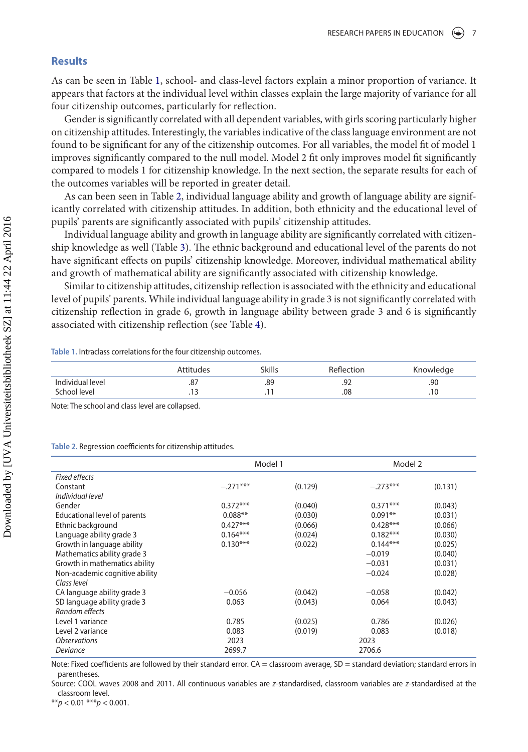# **Results**

As can be seen in Table [1,](#page-7-0) school- and class-level factors explain a minor proportion of variance. It appears that factors at the individual level within classes explain the large majority of variance for all four citizenship outcomes, particularly for reflection.

Gender is significantly correlated with all dependent variables, with girls scoring particularly higher on citizenship attitudes. Interestingly, the variables indicative of the class language environment are not found to be significant for any of the citizenship outcomes. For all variables, the model fit of model 1 improves significantly compared to the null model. Model 2 fit only improves model fit significantly compared to models 1 for citizenship knowledge. In the next section, the separate results for each of the outcomes variables will be reported in greater detail.

As can been seen in Table [2](#page-7-1), individual language ability and growth of language ability are significantly correlated with citizenship attitudes. In addition, both ethnicity and the educational level of pupils' parents are significantly associated with pupils' citizenship attitudes.

Individual language ability and growth in language ability are significantly correlated with citizenship knowledge as well (Table [3](#page-8-0)). The ethnic background and educational level of the parents do not have significant effects on pupils' citizenship knowledge. Moreover, individual mathematical ability and growth of mathematical ability are significantly associated with citizenship knowledge.

Similar to citizenship attitudes, citizenship reflection is associated with the ethnicity and educational level of pupils' parents. While individual language ability in grade 3 is not significantly correlated with citizenship reflection in grade 6, growth in language ability between grade 3 and 6 is significantly associated with citizenship reflection (see Table [4](#page-8-1)).

<span id="page-7-0"></span>**Table 1.** Intraclass correlations for the four citizenship outcomes.

|                  | ttitudes، | <b>Skills</b> | Reflection   | Knowledge |
|------------------|-----------|---------------|--------------|-----------|
| Individual level | ،ο        | .89           | . <i>.</i> . | .90       |
| School level     | .         |               | .08          | .10       |

Note: The school and class level are collapsed.

#### <span id="page-7-1"></span>**Table 2.** Regression coefficients for citizenship attitudes.

|                                | Model 1    |         | Model 2    |         |
|--------------------------------|------------|---------|------------|---------|
| <b>Fixed effects</b>           |            |         |            |         |
| Constant                       | $-.271***$ | (0.129) | $-.273***$ | (0.131) |
| Individual level               |            |         |            |         |
| Gender                         | $0.372***$ | (0.040) | $0.371***$ | (0.043) |
| Educational level of parents   | $0.088**$  | (0.030) | $0.091**$  | (0.031) |
| Ethnic background              | $0.427***$ | (0.066) | $0.428***$ | (0.066) |
| Language ability grade 3       | $0.164***$ | (0.024) | $0.182***$ | (0.030) |
| Growth in language ability     | $0.130***$ | (0.022) | $0.144***$ | (0.025) |
| Mathematics ability grade 3    |            |         | $-0.019$   | (0.040) |
| Growth in mathematics ability  |            |         | $-0.031$   | (0.031) |
| Non-academic cognitive ability |            |         | $-0.024$   | (0.028) |
| Class level                    |            |         |            |         |
| CA language ability grade 3    | $-0.056$   | (0.042) | $-0.058$   | (0.042) |
| SD language ability grade 3    | 0.063      | (0.043) | 0.064      | (0.043) |
| Random effects                 |            |         |            |         |
| Level 1 variance               | 0.785      | (0.025) | 0.786      | (0.026) |
| Level 2 variance               | 0.083      | (0.019) | 0.083      | (0.018) |
| <i><b>Observations</b></i>     | 2023       |         | 2023       |         |
| Deviance                       | 2699.7     |         | 2706.6     |         |

Note: Fixed coefficients are followed by their standard error. CA = classroom average, SD = standard deviation; standard errors in parentheses.

Source: COOL waves 2008 and 2011. All continuous variables are *z*-standardised, classroom variables are *z*-standardised at the classroom level.

\*\**p* < 0.01 \*\*\**p* < 0.001.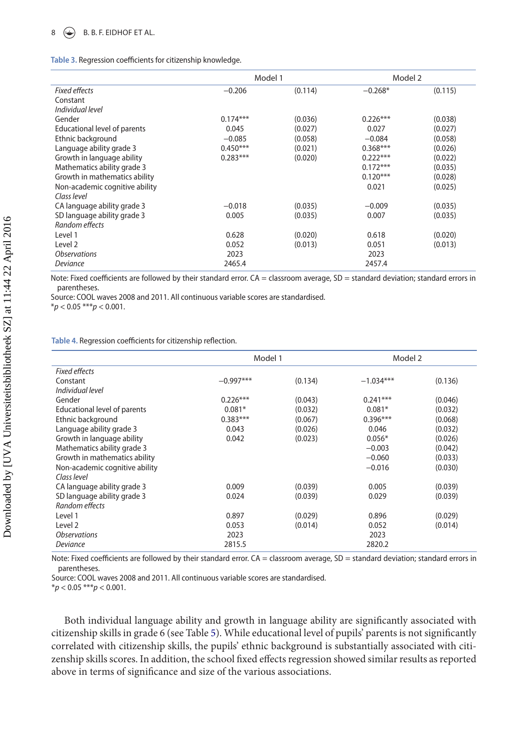#### <span id="page-8-0"></span>**Table 3.** Regression coefficients for citizenship knowledge.

|                                | Model 1    |         | Model 2    |         |
|--------------------------------|------------|---------|------------|---------|
| <b>Fixed effects</b>           | $-0.206$   | (0.114) | $-0.268*$  | (0.115) |
| Constant                       |            |         |            |         |
| Individual level               |            |         |            |         |
| Gender                         | $0.174***$ | (0.036) | $0.226***$ | (0.038) |
| Educational level of parents   | 0.045      | (0.027) | 0.027      | (0.027) |
| Ethnic background              | $-0.085$   | (0.058) | $-0.084$   | (0.058) |
| Language ability grade 3       | $0.450***$ | (0.021) | $0.368***$ | (0.026) |
| Growth in language ability     | $0.283***$ | (0.020) | $0.222***$ | (0.022) |
| Mathematics ability grade 3    |            |         | $0.172***$ | (0.035) |
| Growth in mathematics ability  |            |         | $0.120***$ | (0.028) |
| Non-academic cognitive ability |            |         | 0.021      | (0.025) |
| Class level                    |            |         |            |         |
| CA language ability grade 3    | $-0.018$   | (0.035) | $-0.009$   | (0.035) |
| SD language ability grade 3    | 0.005      | (0.035) | 0.007      | (0.035) |
| Random effects                 |            |         |            |         |
| Level 1                        | 0.628      | (0.020) | 0.618      | (0.020) |
| Level 2                        | 0.052      | (0.013) | 0.051      | (0.013) |
| <i><b>Observations</b></i>     | 2023       |         | 2023       |         |
| Deviance                       | 2465.4     |         | 2457.4     |         |

Note: Fixed coefficients are followed by their standard error. CA = classroom average, SD = standard deviation; standard errors in parentheses.

Source: COOL waves 2008 and 2011. All continuous variable scores are standardised.

\**p* < 0.05 \*\*\**p* < 0.001.

<span id="page-8-1"></span>**Table 4.** Regression coefficients for citizenship reflection.

|                                     | Model 1     |         | Model 2     |         |
|-------------------------------------|-------------|---------|-------------|---------|
| <b>Fixed effects</b>                |             |         |             |         |
| Constant                            | $-0.997***$ | (0.134) | $-1.034***$ | (0.136) |
| Individual level                    |             |         |             |         |
| Gender                              | $0.226***$  | (0.043) | $0.241***$  | (0.046) |
| <b>Educational level of parents</b> | $0.081*$    | (0.032) | $0.081*$    | (0.032) |
| Ethnic background                   | $0.383***$  | (0.067) | $0.396***$  | (0.068) |
| Language ability grade 3            | 0.043       | (0.026) | 0.046       | (0.032) |
| Growth in language ability          | 0.042       | (0.023) | $0.056*$    | (0.026) |
| Mathematics ability grade 3         |             |         | $-0.003$    | (0.042) |
| Growth in mathematics ability       |             |         | $-0.060$    | (0.033) |
| Non-academic cognitive ability      |             |         | $-0.016$    | (0.030) |
| Class level                         |             |         |             |         |
| CA language ability grade 3         | 0.009       | (0.039) | 0.005       | (0.039) |
| SD language ability grade 3         | 0.024       | (0.039) | 0.029       | (0.039) |
| Random effects                      |             |         |             |         |
| Level 1                             | 0.897       | (0.029) | 0.896       | (0.029) |
| Level 2                             | 0.053       | (0.014) | 0.052       | (0.014) |
| <i><b>Observations</b></i>          | 2023        |         | 2023        |         |
| Deviance                            | 2815.5      |         | 2820.2      |         |

Note: Fixed coefficients are followed by their standard error. CA = classroom average, SD = standard deviation; standard errors in parentheses.

Source: COOL waves 2008 and 2011. All continuous variable scores are standardised.

\**p* < 0.05 \*\*\**p* < 0.001.

Both individual language ability and growth in language ability are significantly associated with citizenship skills in grade 6 (see Table [5\)](#page-9-0). While educational level of pupils' parents is not significantly correlated with citizenship skills, the pupils' ethnic background is substantially associated with citizenship skills scores. In addition, the school fixed effects regression showed similar results as reported above in terms of significance and size of the various associations.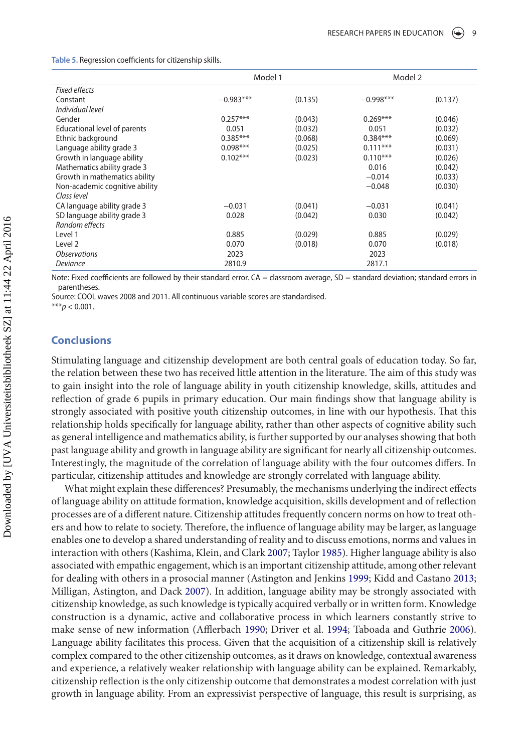<span id="page-9-0"></span>**Table 5.** Regression coefficients for citizenship skills.

|                                | Model 1     |         | Model 2     |         |  |
|--------------------------------|-------------|---------|-------------|---------|--|
| <b>Fixed effects</b>           |             |         |             |         |  |
| Constant                       | $-0.983***$ | (0.135) | $-0.998***$ | (0.137) |  |
| Individual level               |             |         |             |         |  |
| Gender                         | $0.257***$  | (0.043) | $0.269***$  | (0.046) |  |
| Educational level of parents   | 0.051       | (0.032) | 0.051       | (0.032) |  |
| Ethnic background              | $0.385***$  | (0.068) | $0.384***$  | (0.069) |  |
| Language ability grade 3       | $0.098***$  | (0.025) | $0.111***$  | (0.031) |  |
| Growth in language ability     | $0.102***$  | (0.023) | $0.110***$  | (0.026) |  |
| Mathematics ability grade 3    |             |         | 0.016       | (0.042) |  |
| Growth in mathematics ability  |             |         | $-0.014$    | (0.033) |  |
| Non-academic cognitive ability |             |         | $-0.048$    | (0.030) |  |
| Class level                    |             |         |             |         |  |
| CA language ability grade 3    | $-0.031$    | (0.041) | $-0.031$    | (0.041) |  |
| SD language ability grade 3    | 0.028       | (0.042) | 0.030       | (0.042) |  |
| Random effects                 |             |         |             |         |  |
| Level 1                        | 0.885       | (0.029) | 0.885       | (0.029) |  |
| Level <sub>2</sub>             | 0.070       | (0.018) | 0.070       | (0.018) |  |
| <i><b>Observations</b></i>     | 2023        |         | 2023        |         |  |
| Deviance                       | 2810.9      |         | 2817.1      |         |  |

Note: Fixed coefficients are followed by their standard error.  $CA =$  classroom average,  $SD =$  standard deviation; standard errors in parentheses.

Source: COOL waves 2008 and 2011. All continuous variable scores are standardised.

\*\*\**p* < 0.001.

# **Conclusions**

Stimulating language and citizenship development are both central goals of education today. So far, the relation between these two has received little attention in the literature. The aim of this study was to gain insight into the role of language ability in youth citizenship knowledge, skills, attitudes and reflection of grade 6 pupils in primary education. Our main findings show that language ability is strongly associated with positive youth citizenship outcomes, in line with our hypothesis. That this relationship holds specifically for language ability, rather than other aspects of cognitive ability such as general intelligence and mathematics ability, is further supported by our analyses showing that both past language ability and growth in language ability are significant for nearly all citizenship outcomes. Interestingly, the magnitude of the correlation of language ability with the four outcomes differs. In particular, citizenship attitudes and knowledge are strongly correlated with language ability.

<span id="page-9-5"></span><span id="page-9-4"></span><span id="page-9-3"></span><span id="page-9-2"></span><span id="page-9-1"></span>What might explain these differences? Presumably, the mechanisms underlying the indirect effects of language ability on attitude formation, knowledge acquisition, skills development and of reflection processes are of a different nature. Citizenship attitudes frequently concern norms on how to treat others and how to relate to society. Therefore, the influence of language ability may be larger, as language enables one to develop a shared understanding of reality and to discuss emotions, norms and values in interaction with others (Kashima, Klein, and Clark [2007](#page-13-20); Taylor [1985\)](#page-13-18). Higher language ability is also associated with empathic engagement, which is an important citizenship attitude, among other relevant for dealing with others in a prosocial manner (Astington and Jenkins [1999;](#page-12-22) Kidd and Castano [2013](#page-13-21); Milligan, Astington, and Dack [2007](#page-13-23)). In addition, language ability may be strongly associated with citizenship knowledge, as such knowledge is typically acquired verbally or in written form. Knowledge construction is a dynamic, active and collaborative process in which learners constantly strive to make sense of new information (Afflerbach [1990;](#page-12-23) Driver et al. [1994;](#page-12-24) Taboada and Guthrie [2006](#page-13-24)). Language ability facilitates this process. Given that the acquisition of a citizenship skill is relatively complex compared to the other citizenship outcomes, as it draws on knowledge, contextual awareness and experience, a relatively weaker relationship with language ability can be explained. Remarkably, citizenship reflection is the only citizenship outcome that demonstrates a modest correlation with just growth in language ability. From an expressivist perspective of language, this result is surprising, as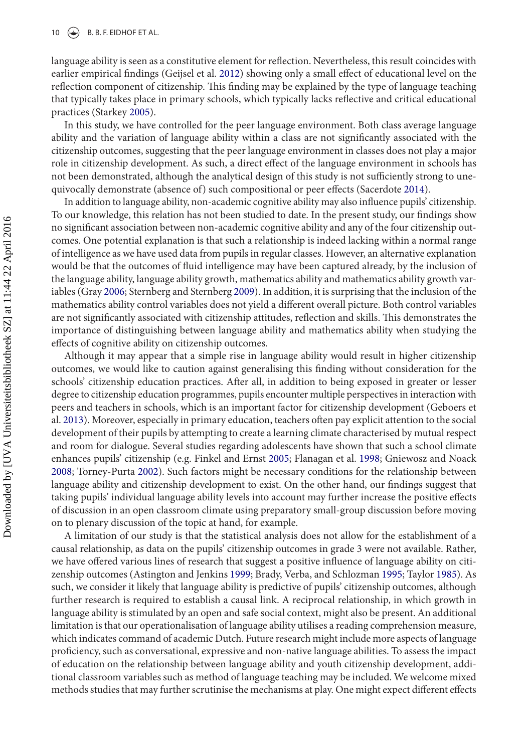language ability is seen as a constitutive element for reflection. Nevertheless, this result coincides with earlier empirical findings (Geijsel et al. [2012](#page-12-0)) showing only a small effect of educational level on the reflection component of citizenship. This finding may be explained by the type of language teaching that typically takes place in primary schools, which typically lacks reflective and critical educational practices (Starkey [2005](#page-13-25)).

<span id="page-10-2"></span>In this study, we have controlled for the peer language environment. Both class average language ability and the variation of language ability within a class are not significantly associated with the citizenship outcomes, suggesting that the peer language environment in classes does not play a major role in citizenship development. As such, a direct effect of the language environment in schools has not been demonstrated, although the analytical design of this study is not sufficiently strong to unequivocally demonstrate (absence of) such compositional or peer effects (Sacerdote [2014\)](#page-13-26).

<span id="page-10-1"></span>In addition to language ability, non-academic cognitive ability may also influence pupils' citizenship. To our knowledge, this relation has not been studied to date. In the present study, our findings show no significant association between non-academic cognitive ability and any of the four citizenship outcomes. One potential explanation is that such a relationship is indeed lacking within a normal range of intelligence as we have used data from pupils in regular classes. However, an alternative explanation would be that the outcomes of fluid intelligence may have been captured already, by the inclusion of the language ability, language ability growth, mathematics ability and mathematics ability growth variables (Gray [2006](#page-12-25); Sternberg and Sternberg [2009\)](#page-13-27). In addition, it is surprising that the inclusion of the mathematics ability control variables does not yield a different overall picture. Both control variables are not significantly associated with citizenship attitudes, reflection and skills. This demonstrates the importance of distinguishing between language ability and mathematics ability when studying the effects of cognitive ability on citizenship outcomes.

<span id="page-10-3"></span><span id="page-10-0"></span>Although it may appear that a simple rise in language ability would result in higher citizenship outcomes, we would like to caution against generalising this finding without consideration for the schools' citizenship education practices. After all, in addition to being exposed in greater or lesser degree to citizenship education programmes, pupils encounter multiple perspectives in interaction with peers and teachers in schools, which is an important factor for citizenship development (Geboers et al. [2013](#page-12-10)). Moreover, especially in primary education, teachers often pay explicit attention to the social development of their pupils by attempting to create a learning climate characterised by mutual respect and room for dialogue. Several studies regarding adolescents have shown that such a school climate enhances pupils' citizenship (e.g. Finkel and Ernst [2005](#page-12-11); Flanagan et al. [1998;](#page-12-12) Gniewosz and Noack [2008](#page-12-13); Torney-Purta [2002](#page-13-28)). Such factors might be necessary conditions for the relationship between language ability and citizenship development to exist. On the other hand, our findings suggest that taking pupils' individual language ability levels into account may further increase the positive effects of discussion in an open classroom climate using preparatory small-group discussion before moving on to plenary discussion of the topic at hand, for example.

<span id="page-10-4"></span>A limitation of our study is that the statistical analysis does not allow for the establishment of a causal relationship, as data on the pupils' citizenship outcomes in grade 3 were not available. Rather, we have offered various lines of research that suggest a positive influence of language ability on citizenship outcomes (Astington and Jenkins [1999](#page-12-22); Brady, Verba, and Schlozman [1995](#page-12-17); Taylor [1985\)](#page-13-18). As such, we consider it likely that language ability is predictive of pupils' citizenship outcomes, although further research is required to establish a causal link. A reciprocal relationship, in which growth in language ability is stimulated by an open and safe social context, might also be present. An additional limitation is that our operationalisation of language ability utilises a reading comprehension measure, which indicates command of academic Dutch. Future research might include more aspects of language proficiency, such as conversational, expressive and non-native language abilities. To assess the impact of education on the relationship between language ability and youth citizenship development, additional classroom variables such as method of language teaching may be included. We welcome mixed methods studies that may further scrutinise the mechanisms at play. One might expect different effects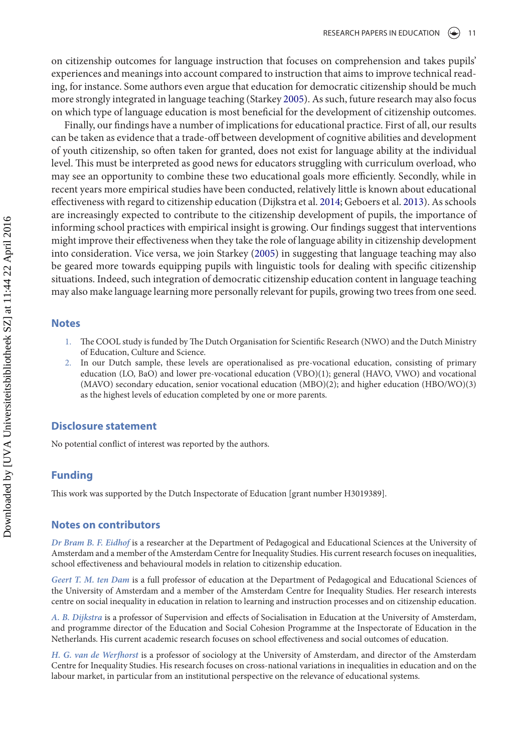on citizenship outcomes for language instruction that focuses on comprehension and takes pupils' experiences and meanings into account compared to instruction that aims to improve technical reading, for instance. Some authors even argue that education for democratic citizenship should be much more strongly integrated in language teaching (Starkey [2005](#page-13-25)). As such, future research may also focus on which type of language education is most beneficial for the development of citizenship outcomes.

Finally, our findings have a number of implications for educational practice. First of all, our results can be taken as evidence that a trade-off between development of cognitive abilities and development of youth citizenship, so often taken for granted, does not exist for language ability at the individual level. This must be interpreted as good news for educators struggling with curriculum overload, who may see an opportunity to combine these two educational goals more efficiently. Secondly, while in recent years more empirical studies have been conducted, relatively little is known about educational effectiveness with regard to citizenship education (Dijkstra et al. [2014;](#page-12-14) Geboers et al. [2013](#page-12-10)). As schools are increasingly expected to contribute to the citizenship development of pupils, the importance of informing school practices with empirical insight is growing. Our findings suggest that interventions might improve their effectiveness when they take the role of language ability in citizenship development into consideration. Vice versa, we join Starkey ([2005](#page-13-25)) in suggesting that language teaching may also be geared more towards equipping pupils with linguistic tools for dealing with specific citizenship situations. Indeed, such integration of democratic citizenship education content in language teaching may also make language learning more personally relevant for pupils, growing two trees from one seed.

#### **Notes**

- <span id="page-11-0"></span>1. The COOL study is funded by The Dutch Organisation for Scientific Research (NWO) and the Dutch Ministry of Education, Culture and Science.
- <span id="page-11-1"></span>2. In our Dutch sample, these levels are operationalised as pre-vocational education, consisting of primary education (LO, BaO) and lower pre-vocational education (VBO)(1); general (HAVO, VWO) and vocational (MAVO) secondary education, senior vocational education (MBO)(2); and higher education (HBO/WO)(3) as the highest levels of education completed by one or more parents.

# **Disclosure statement**

No potential conflict of interest was reported by the authors.

# **Funding**

This work was supported by the Dutch Inspectorate of Education [grant number H3019389].

# **Notes on contributors**

*Dr Bram B. F. Eidhof* is a researcher at the Department of Pedagogical and Educational Sciences at the University of Amsterdam and a member of the Amsterdam Centre for Inequality Studies. His current research focuses on inequalities, school effectiveness and behavioural models in relation to citizenship education.

*Geert T. M. ten Dam* is a full professor of education at the Department of Pedagogical and Educational Sciences of the University of Amsterdam and a member of the Amsterdam Centre for Inequality Studies. Her research interests centre on social inequality in education in relation to learning and instruction processes and on citizenship education.

*A. B. Dijkstra* is a professor of Supervision and effects of Socialisation in Education at the University of Amsterdam, and programme director of the Education and Social Cohesion Programme at the Inspectorate of Education in the Netherlands. His current academic research focuses on school effectiveness and social outcomes of education.

*H. G. van de Werfhorst* is a professor of sociology at the University of Amsterdam, and director of the Amsterdam Centre for Inequality Studies. His research focuses on cross-national variations in inequalities in education and on the labour market, in particular from an institutional perspective on the relevance of educational systems.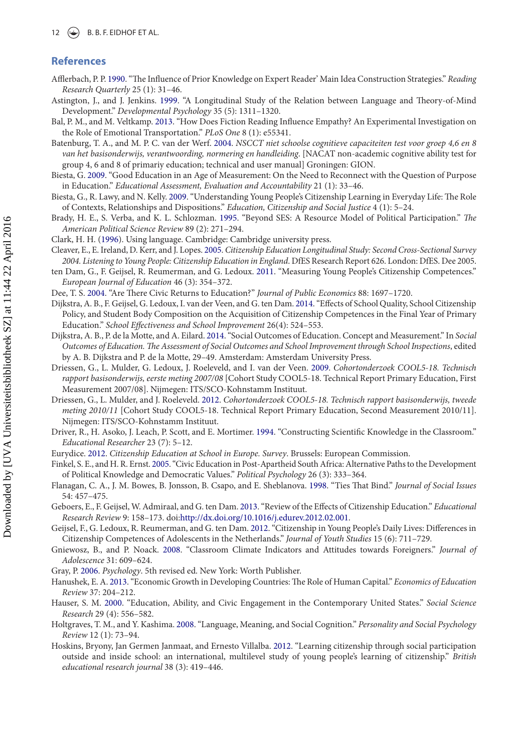# **References**

- <span id="page-12-23"></span>Afflerbach, P. P. [1990.](#page-9-1) "The Influence of Prior Knowledge on Expert Reader' Main Idea Construction Strategies." *Reading Research Quarterly* 25 (1): 31–46.
- <span id="page-12-22"></span>Astington, J., and J. Jenkins. [1999.](#page-9-2) "A Longitudinal Study of the Relation between Language and Theory-of-Mind Development." *Developmental Psychology* 35 (5): 1311–1320.
- <span id="page-12-16"></span>Bal, P. M., and M. Veltkamp. [2013](#page-3-0). "How Does Fiction Reading Influence Empathy? An Experimental Investigation on the Role of Emotional Transportation." *PLoS One* 8 (1): e55341.
- <span id="page-12-21"></span>Batenburg, T. A., and M. P. C. van der Werf. [2004](#page-6-0). *NSCCT niet schoolse cognitieve capaciteiten test voor groep 4,6 en 8 van het basisonderwijs, verantwoording, normering en handleiding*. [NACAT non-academic cognitive ability test for group 4, 6 and 8 of primariy education; technical and user manual] Groningen: GION.
- <span id="page-12-5"></span>Biesta, G. [2009](#page-2-0). "Good Education in an Age of Measurement: On the Need to Reconnect with the Question of Purpose in Education." *Educational Assessment, Evaluation and Accountability* 21 (1): 33–46.
- <span id="page-12-7"></span>Biesta, G., R. Lawy, and N. Kelly. [2009](#page-2-1). "Understanding Young People's Citizenship Learning in Everyday Life: The Role of Contexts, Relationships and Dispositions." *Education, Citizenship and Social Justice* 4 (1): 5–24.
- <span id="page-12-17"></span>Brady, H. E., S. Verba, and K. L. Schlozman. [1995](#page-4-0). "Beyond SES: A Resource Model of Political Participation." *The American Political Science Review* 89 (2): 271–294.
- Clark, H. H. (1996). Using language. Cambridge: Cambridge university press.
- <span id="page-12-18"></span>Cleaver, E., E. Ireland, D. Kerr, and J. Lopes. [2005.](#page-4-1) *Citizenship Education Longitudinal Study: Second Cross-Sectional Survey 2004. Listening to Young People: Citizenship Education in England*. DfES Research Report 626. London: DfES. Dee 2005.
- <span id="page-12-8"></span>ten Dam, G., F. Geijsel, R. Reumerman, and G. Ledoux. [2011.](#page-2-2) "Measuring Young People's Citizenship Competences." *European Journal of Education* 46 (3): 354–372.
- <span id="page-12-1"></span>Dee, T. S. [2004.](#page-1-2) "Are There Civic Returns to Education?" *Journal of Public Economics* 88: 1697–1720.
- <span id="page-12-14"></span>Dijkstra, A. B., F. Geijsel, G. Ledoux, I. van der Veen, and G. ten Dam. [2014.](#page-3-1) "Effects of School Quality, School Citizenship Policy, and Student Body Composition on the Acquisition of Citizenship Competences in the Final Year of Primary Education." *School Effectiveness and School Improvement* 26(4): 524–553.
- <span id="page-12-9"></span>Dijkstra, A. B., P. de la Motte, and A. Eilard. [2014](#page-2-3). "Social Outcomes of Education. Concept and Measurement." In *Social Outcomes of Education. The Assessment of Social Outcomes and School Improvement through School Inspections*, edited by A. B. Dijkstra and P. de la Motte, 29–49. Amsterdam: Amsterdam University Press.
- <span id="page-12-19"></span>Driessen, G., L. Mulder, G. Ledoux, J. Roeleveld, and I. van der Veen. [2009](#page-4-2). *Cohortonderzoek COOL5-18. Technisch rapport basisonderwijs, eerste meting 2007/08* [Cohort Study COOL5-18. Technical Report Primary Education, First Measurement 2007/08]. Nijmegen: ITS/SCO-Kohnstamm Instituut.
- <span id="page-12-20"></span>Driessen, G., L. Mulder, and J. Roeleveld. [2012.](#page-4-3) *Cohortonderzoek COOL5-18. Technisch rapport basisonderwijs, tweede meting 2010/11* [Cohort Study COOL5-18. Technical Report Primary Education, Second Measurement 2010/11]. Nijmegen: ITS/SCO-Kohnstamm Instituut.
- <span id="page-12-24"></span>Driver, R., H. Asoko, J. Leach, P. Scott, and E. Mortimer. [1994.](#page-9-3) "Constructing Scientific Knowledge in the Classroom." *Educational Researcher* 23 (7): 5–12.
- <span id="page-12-4"></span>Eurydice. [2012](#page-2-4). *Citizenship Education at School in Europe. Survey*. Brussels: European Commission.
- <span id="page-12-11"></span>Finkel, S. E., and H. R. Ernst. [2005.](#page-3-2) "Civic Education in Post-Apartheid South Africa: Alternative Paths to the Development of Political Knowledge and Democratic Values." *Political Psychology* 26 (3): 333–364.
- <span id="page-12-12"></span>Flanagan, C. A., J. M. Bowes, B. Jonsson, B. Csapo, and E. Sheblanova. [1998](#page-3-3). "Ties That Bind." *Journal of Social Issues* 54: 457–475.
- <span id="page-12-10"></span>Geboers, E., F. Geijsel, W. Admiraal, and G. ten Dam. [2013.](#page-2-5) "Review of the Effects of Citizenship Education." *Educational Research Review* 9: 158–173. doi[:http://dx.doi.org/10.1016/j.edurev.2012.02.001.](http://dx.doi.org/10.1016/j.edurev.2012.02.001)
- <span id="page-12-0"></span>Geijsel, F., G. Ledoux, R. Reumerman, and G. ten Dam. [2012.](#page-1-3) "Citizenship in Young People's Daily Lives: Differences in Citizenship Competences of Adolescents in the Netherlands." *Journal of Youth Studies* 15 (6): 711–729.
- <span id="page-12-13"></span>Gniewosz, B., and P. Noack. [2008.](#page-3-4) "Classroom Climate Indicators and Attitudes towards Foreigners." *Journal of Adolescence* 31: 609–624.
- <span id="page-12-25"></span>Gray, P. [2006.](#page-10-0) *Psychology*. 5th revised ed. New York: Worth Publisher.
- <span id="page-12-6"></span>Hanushek, E. A. [2013.](#page-2-6) "Economic Growth in Developing Countries: The Role of Human Capital." *Economics of Education Review* 37: 204–212.
- <span id="page-12-2"></span>Hauser, S. M. [2000.](#page-1-4) "Education, Ability, and Civic Engagement in the Contemporary United States." *Social Science Research* 29 (4): 556–582.
- <span id="page-12-15"></span>Holtgraves, T. M., and Y. Kashima. [2008](#page-3-5). "Language, Meaning, and Social Cognition." *Personality and Social Psychology Review* 12 (1): 73–94.
- <span id="page-12-3"></span>Hoskins, Bryony, Jan Germen Janmaat, and Ernesto Villalba. [2012.](#page-1-5) "Learning citizenship through social participation outside and inside school: an international, multilevel study of young people's learning of citizenship." *British educational research journal* 38 (3): 419–446.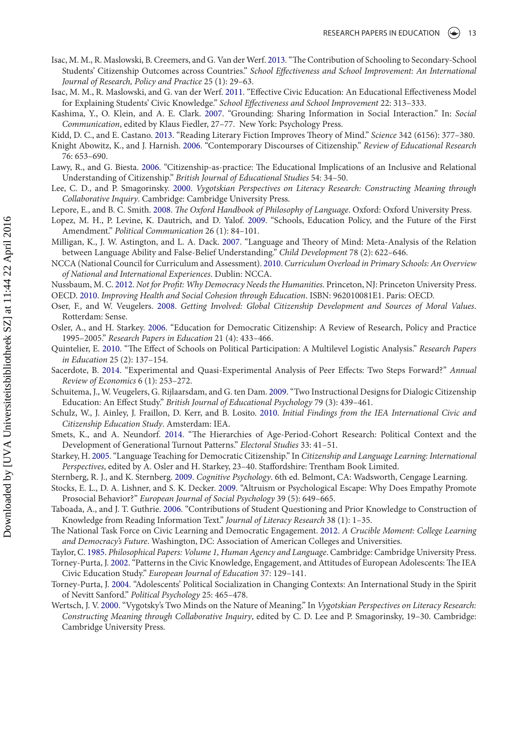- <span id="page-13-14"></span>Isac, M. M., R. Maslowski, B. Creemers, and G. Van der Werf. [2013](#page-3-6). "The Contribution of Schooling to Secondary-School Students' Citizenship Outcomes across Countries." *School Effectiveness and School Improvement: An International Journal of Research, Policy and Practice* 25 (1): 29–63.
- <span id="page-13-1"></span>Isac, M. M., R. Maslowski, and G. van der Werf. [2011.](#page-1-6) "Effective Civic Education: An Educational Effectiveness Model for Explaining Students' Civic Knowledge." *School Effectiveness and School Improvement* 22: 313–333.
- <span id="page-13-20"></span>Kashima, Y., O. Klein, and A. E. Clark. [2007.](#page-3-7) "Grounding: Sharing Information in Social Interaction." In: *Social Communication*, edited by Klaus Fiedler, 27–77. New York: Psychology Press.
- <span id="page-13-21"></span>Kidd, D. C., and E. Castano. [2013](#page-3-8). "Reading Literary Fiction Improves Theory of Mind." *Science* 342 (6156): 377–380.
- <span id="page-13-10"></span>Knight Abowitz, K., and J. Harnish. [2006](#page-2-7). "Contemporary Discourses of Citizenship." *Review of Educational Research* 76: 653–690.
- <span id="page-13-12"></span>Lawy, R., and G. Biesta. [2006.](#page-2-8) "Citizenship-as-practice: The Educational Implications of an Inclusive and Relational Understanding of Citizenship." *British Journal of Educational Studies* 54: 34–50.
- <span id="page-13-4"></span>Lee, C. D., and P. Smagorinsky. [2000](#page-1-7). *Vygotskian Perspectives on Literacy Research: Constructing Meaning through Collaborative Inquiry*. Cambridge: Cambridge University Press.
- <span id="page-13-17"></span>Lepore, E., and B. C. Smith. [2008.](#page-3-9) *The Oxford Handbook of Philosophy of Language*. Oxford: Oxford University Press.
- <span id="page-13-2"></span>Lopez, M. H., P. Levine, K. Dautrich, and D. Yalof. [2009.](#page-1-8) "Schools, Education Policy, and the Future of the First Amendment." *Political Communication* 26 (1): 84–101.
- <span id="page-13-23"></span>Milligan, K., J. W. Astington, and L. A. Dack. [2007](#page-9-4). "Language and Theory of Mind: Meta-Analysis of the Relation between Language Ability and False-Belief Understanding." *Child Development* 78 (2): 622–646.
- <span id="page-13-5"></span>NCCA (National Council for Curriculum and Assessment). [2010](#page-2-9). *Curriculum Overload in Primary Schools: An Overview of National and International Experiences*. Dublin: NCCA.
- <span id="page-13-8"></span>Nussbaum, M. C. [2012.](#page-2-10) *Not for Profit: Why Democracy Needs the Humanities*. Princeton, NJ: Princeton University Press.
- <span id="page-13-9"></span>OECD. [2010.](#page-2-11) *Improving Health and Social Cohesion through Education*. ISBN: 962010081E1. Paris: OECD.
- <span id="page-13-11"></span>Oser, F., and W. Veugelers. [2008](#page-2-12). *Getting Involved: Global Citizenship Development and Sources of Moral Values*. Rotterdam: Sense.
- <span id="page-13-7"></span>Osler, A., and H. Starkey. [2006.](#page-2-13) "Education for Democratic Citizenship: A Review of Research, Policy and Practice 1995–2005." *Research Papers in Education* 21 (4): 433–466.
- <span id="page-13-3"></span>Quintelier, E. [2010.](#page-1-9) "The Effect of Schools on Political Participation: A Multilevel Logistic Analysis." *Research Papers in Education* 25 (2): 137–154.
- <span id="page-13-26"></span>Sacerdote, B. [2014.](#page-10-1) "Experimental and Quasi-Experimental Analysis of Peer Effects: Two Steps Forward?" *Annual Review of Economics* 6 (1): 253–272.
- <span id="page-13-15"></span>Schuitema, J., W. Veugelers, G. Rijlaarsdam, and G. ten Dam. [2009.](#page-3-10) "Two Instructional Designs for Dialogic Citizenship Education: An Effect Study." *British Journal of Educational Psychology* 79 (3): 439–461.
- <span id="page-13-0"></span>Schulz, W., J. Ainley, J. Fraillon, D. Kerr, and B. Losito. [2010](#page-1-10). *Initial Findings from the IEA International Civic and Citizenship Education Study*. Amsterdam: IEA.
- <span id="page-13-13"></span>Smets, K., and A. Neundorf. [2014](#page-2-14). "The Hierarchies of Age-Period-Cohort Research: Political Context and the Development of Generational Turnout Patterns." *Electoral Studies* 33: 41–51.
- <span id="page-13-25"></span>Starkey, H. [2005](#page-10-2). "Language Teaching for Democratic Citizenship." In *Citizenship and Language Learning: International Perspectives*, edited by A. Osler and H. Starkey, 23–40. Staffordshire: Trentham Book Limited.
- <span id="page-13-27"></span>Sternberg, R. J., and K. Sternberg. [2009.](#page-10-3) *Cognitive Psychology*. 6th ed. Belmont, CA: Wadsworth, Cengage Learning.
- <span id="page-13-22"></span>Stocks, E. L., D. A. Lishner, and S. K. Decker. [2009](#page-3-11). "Altruism or Psychological Escape: Why Does Empathy Promote Prosocial Behavior?" *European Journal of Social Psychology* 39 (5): 649–665.
- <span id="page-13-24"></span>Taboada, A., and J. T. Guthrie. [2006](#page-9-5). "Contributions of Student Questioning and Prior Knowledge to Construction of Knowledge from Reading Information Text." *Journal of Literacy Research* 38 (1): 1–35.
- <span id="page-13-6"></span>The National Task Force on Civic Learning and Democratic Engagement. [2012.](#page-2-15) *A Crucible Moment: College Learning and Democracy's Future*. Washington, DC: Association of American Colleges and Universities.

<span id="page-13-18"></span>Taylor, C. [1985.](#page-3-12) *Philosophical Papers: Volume 1, Human Agency and Language*. Cambridge: Cambridge University Press.

- <span id="page-13-28"></span>Torney-Purta, J. [2002.](#page-10-4) "Patterns in the Civic Knowledge, Engagement, and Attitudes of European Adolescents: The IEA Civic Education Study." *European Journal of Education* 37: 129–141.
- <span id="page-13-16"></span>Torney-Purta, J. [2004.](#page-3-13) "Adolescents' Political Socialization in Changing Contexts: An International Study in the Spirit of Nevitt Sanford." *Political Psychology* 25: 465–478.
- <span id="page-13-19"></span>Wertsch, J. V. [2000.](#page-3-14) "Vygotsky's Two Minds on the Nature of Meaning." In *Vygotskian Perspectives on Literacy Research: Constructing Meaning through Collaborative Inquiry*, edited by C. D. Lee and P. Smagorinsky, 19–30. Cambridge: Cambridge University Press.